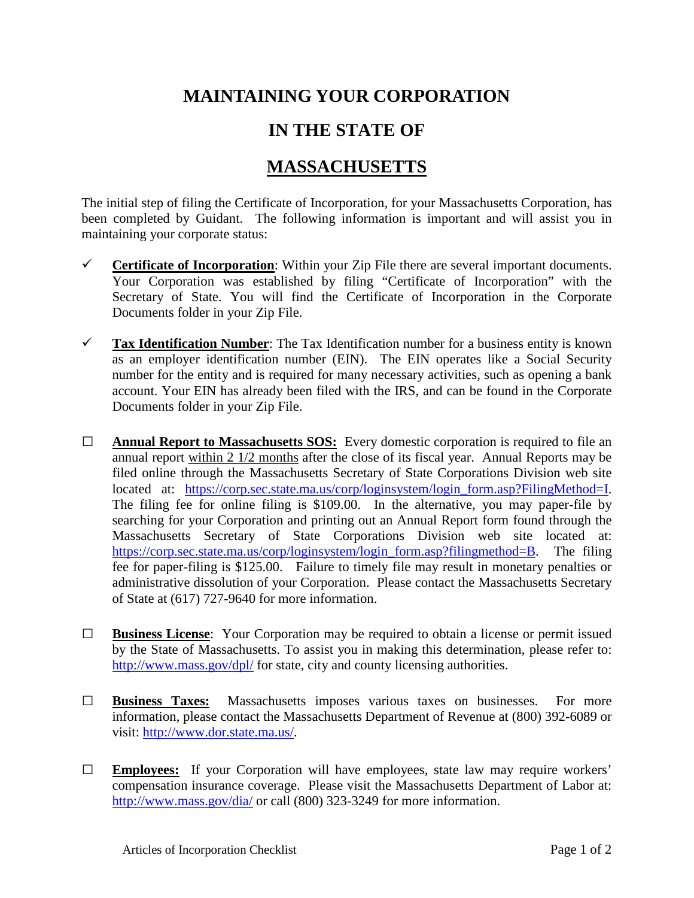## **MAINTAINING YOUR CORPORATION**

## **IN THE STATE OF**

## **MASSACHUSETTS**

The initial step of filing the Certificate of Incorporation, for your Massachusetts Corporation, has been completed by Guidant. The following information is important and will assist you in maintaining your corporate status:

- **Certificate of Incorporation:** Within your Zip File there are several important documents. Your Corporation was established by filing "Certificate of Incorporation" with the Secretary of State. You will find the Certificate of Incorporation in the Corporate Documents folder in your Zip File.
- **Tax Identification Number**: The Tax Identification number for a business entity is known as an employer identification number (EIN). The EIN operates like a Social Security number for the entity and is required for many necessary activities, such as opening a bank account. Your EIN has already been filed with the IRS, and can be found in the Corporate Documents folder in your Zip File.
- **□ Annual Report to Massachusetts SOS:** Every domestic corporation is required to file an annual report within 2 1/2 months after the close of its fiscal year. Annual Reports may be filed online through the Massachusetts Secretary of State Corporations Division web site located at: [https://corp.sec.state.ma.us/corp/loginsystem/login\\_form.asp?FilingMethod=I.](https://corp.sec.state.ma.us/corp/loginsystem/login_form.asp?FilingMethod=I) The filing fee for online filing is \$109.00. In the alternative, you may paper-file by searching for your Corporation and printing out an Annual Report form found through the Massachusetts Secretary of State Corporations Division web site located at: [https://corp.sec.state.ma.us/corp/loginsystem/login\\_form.asp?filingmethod=B.](https://corp.sec.state.ma.us/corp/loginsystem/login_form.asp?filingmethod=B) The filing fee for paper-filing is \$125.00. Failure to timely file may result in monetary penalties or administrative dissolution of your Corporation. Please contact the Massachusetts Secretary of State at (617) 727-9640 for more information.
- **□ Business License**: Your Corporation may be required to obtain a license or permit issued by the State of Massachusetts. To assist you in making this determination, please refer to: <http://www.mass.gov/dpl/> for state, city and county licensing authorities.
- **□ Business Taxes:** Massachusetts imposes various taxes on businesses. For more information, please contact the Massachusetts Department of Revenue at (800) 392-6089 or visit: [http://www.dor.state.ma.us/.](http://www.dor.state.ma.us/)
- **□ Employees:** If your Corporation will have employees, state law may require workers' compensation insurance coverage. Please visit the Massachusetts Department of Labor at: <http://www.mass.gov/dia/> or call (800) 323-3249 for more information.